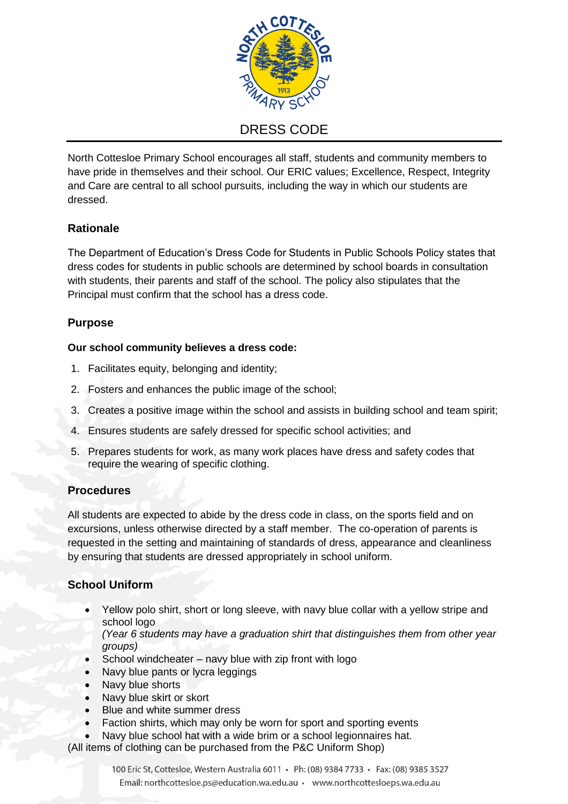

North Cottesloe Primary School encourages all staff, students and community members to have pride in themselves and their school. Our ERIC values; Excellence, Respect, Integrity and Care are central to all school pursuits, including the way in which our students are dressed.

# **Rationale**

The Department of Education's Dress Code for Students in Public Schools Policy states that dress codes for students in public schools are determined by school boards in consultation with students, their parents and staff of the school. The policy also stipulates that the Principal must confirm that the school has a dress code.

# **Purpose**

### **Our school community believes a dress code:**

- 1. Facilitates equity, belonging and identity;
- 2. Fosters and enhances the public image of the school;
- 3. Creates a positive image within the school and assists in building school and team spirit;
- 4. Ensures students are safely dressed for specific school activities; and
- 5. Prepares students for work, as many work places have dress and safety codes that require the wearing of specific clothing.

## **Procedures**

All students are expected to abide by the dress code in class, on the sports field and on excursions, unless otherwise directed by a staff member. The co-operation of parents is requested in the setting and maintaining of standards of dress, appearance and cleanliness by ensuring that students are dressed appropriately in school uniform.

# **School Uniform**

- Yellow polo shirt, short or long sleeve, with navy blue collar with a yellow stripe and school logo
	- *(Year 6 students may have a graduation shirt that distinguishes them from other year groups)*
- School windcheater navy blue with zip front with logo
- Navy blue pants or lycra leggings
- Navy blue shorts
- Navy blue skirt or skort
- Blue and white summer dress
- Faction shirts, which may only be worn for sport and sporting events
- Navy blue school hat with a wide brim or a school legionnaires hat.

(All items of clothing can be purchased from the P&C Uniform Shop)